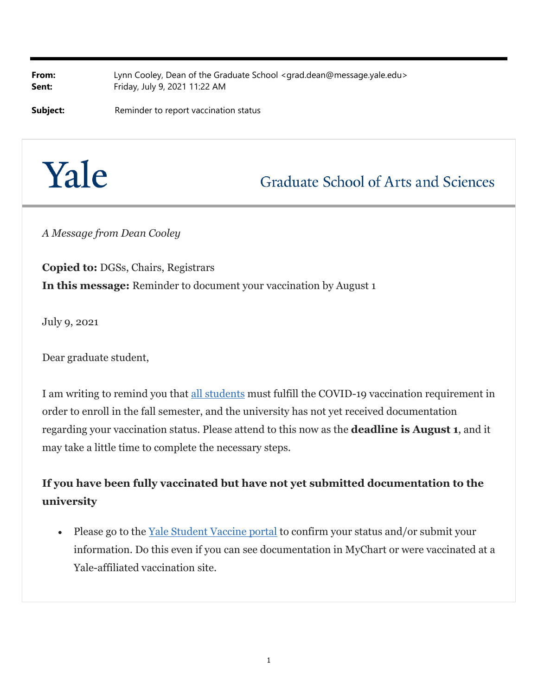**From:** Lynn Cooley, Dean of the Graduate School <grad.dean@message.yale.edu> **Sent:** Friday, July 9, 2021 11:22 AM

**Subject:** Reminder to report vaccination status

# Yale

## **Graduate School of Arts and Sciences**

*A Message from Dean Cooley*

**Copied to:** DGSs, Chairs, Registrars **In this message:** Reminder to document your vaccination by August 1

July 9, 2021

Dear graduate student,

I am writing to remind you that all students must fulfill the COVID-19 vaccination requirement in order to enroll in the fall semester, and the university has not yet received documentation regarding your vaccination status. Please attend to this now as the **deadline is August 1**, and it may take a little time to complete the necessary steps.

#### **If you have been fully vaccinated but have not yet submitted documentation to the university**

• Please go to the Yale Student Vaccine portal to confirm your status and/or submit your information. Do this even if you can see documentation in MyChart or were vaccinated at a Yale-affiliated vaccination site.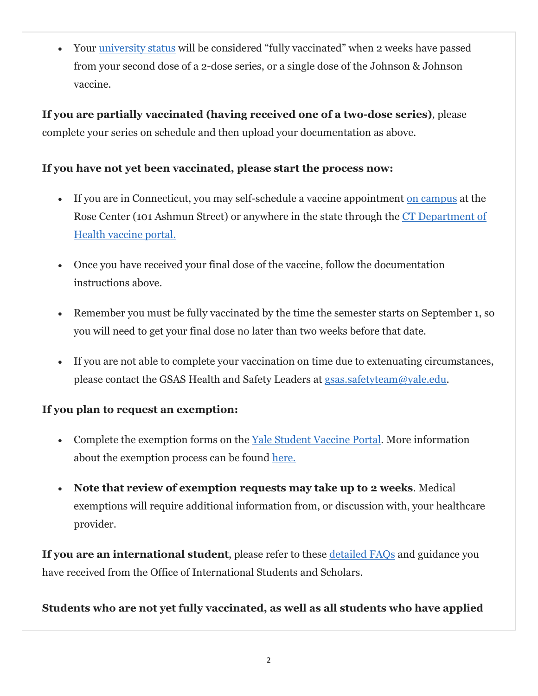Your university status will be considered "fully vaccinated" when 2 weeks have passed from your second dose of a 2-dose series, or a single dose of the Johnson & Johnson vaccine.

**If you are partially vaccinated (having received one of a two-dose series)**, please complete your series on schedule and then upload your documentation as above.

#### **If you have not yet been vaccinated, please start the process now:**

- If you are in Connecticut, you may self-schedule a vaccine appointment on campus at the Rose Center (101 Ashmun Street) or anywhere in the state through the CT Department of Health vaccine portal.
- Once you have received your final dose of the vaccine, follow the documentation instructions above.
- Remember you must be fully vaccinated by the time the semester starts on September 1, so you will need to get your final dose no later than two weeks before that date.
- If you are not able to complete your vaccination on time due to extenuating circumstances, please contact the GSAS Health and Safety Leaders at gsas.safetyteam@yale.edu.

#### **If you plan to request an exemption:**

- Complete the exemption forms on the Yale Student Vaccine Portal. More information about the exemption process can be found here.
- **Note that review of exemption requests may take up to 2 weeks**. Medical exemptions will require additional information from, or discussion with, your healthcare provider.

**If you are an international student**, please refer to these detailed FAQs and guidance you have received from the Office of International Students and Scholars.

#### **Students who are not yet fully vaccinated, as well as all students who have applied**